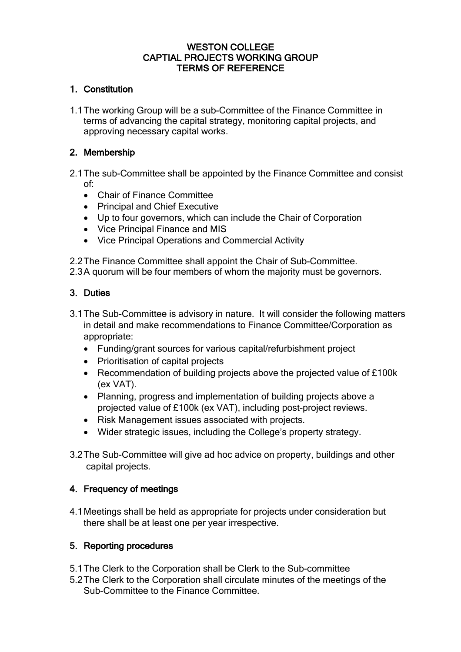#### WESTON COLLEGE CAPTIAL PROJECTS WORKING GROUP TERMS OF REFERENCE

## 1. Constitution

1.1The working Group will be a sub-Committee of the Finance Committee in terms of advancing the capital strategy, monitoring capital projects, and approving necessary capital works.

#### 2. Membership

- 2.1The sub-Committee shall be appointed by the Finance Committee and consist of:
	- Chair of Finance Committee
	- Principal and Chief Executive
	- Up to four governors, which can include the Chair of Corporation
	- Vice Principal Finance and MIS
	- Vice Principal Operations and Commercial Activity

2.2The Finance Committee shall appoint the Chair of Sub-Committee.

2.3A quorum will be four members of whom the majority must be governors.

## 3. Duties

- 3.1The Sub-Committee is advisory in nature. It will consider the following matters in detail and make recommendations to Finance Committee/Corporation as appropriate:
	- Funding/grant sources for various capital/refurbishment project
	- Prioritisation of capital projects
	- Recommendation of building projects above the projected value of £100k (ex VAT).
	- Planning, progress and implementation of building projects above a projected value of £100k (ex VAT), including post-project reviews.
	- Risk Management issues associated with projects.
	- Wider strategic issues, including the College's property strategy.
- 3.2The Sub-Committee will give ad hoc advice on property, buildings and other capital projects.

## 4. Frequency of meetings

4.1Meetings shall be held as appropriate for projects under consideration but there shall be at least one per year irrespective.

## 5. Reporting procedures

- 5.1The Clerk to the Corporation shall be Clerk to the Sub-committee
- 5.2The Clerk to the Corporation shall circulate minutes of the meetings of the Sub-Committee to the Finance Committee.